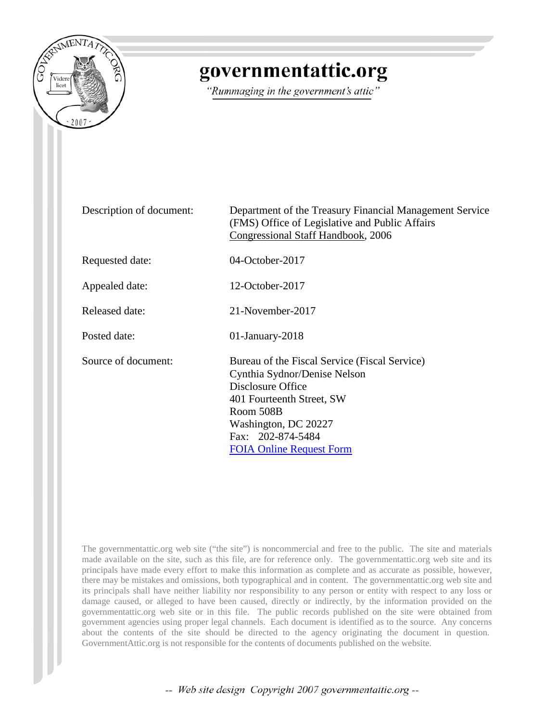

### governmentattic.org

"Rummaging in the government's attic"

| Description of document: | Department of the Treasury Financial Management Service<br>(FMS) Office of Legislative and Public Affairs<br>Congressional Staff Handbook, 2006                                                                              |
|--------------------------|------------------------------------------------------------------------------------------------------------------------------------------------------------------------------------------------------------------------------|
| Requested date:          | 04-October-2017                                                                                                                                                                                                              |
| Appealed date:           | 12-October-2017                                                                                                                                                                                                              |
| <b>Released date:</b>    | 21-November-2017                                                                                                                                                                                                             |
| Posted date:             | $01$ -January-2018                                                                                                                                                                                                           |
| Source of document:      | Bureau of the Fiscal Service (Fiscal Service)<br>Cynthia Sydnor/Denise Nelson<br>Disclosure Office<br>401 Fourteenth Street, SW<br>Room 508B<br>Washington, DC 20227<br>Fax: 202-874-5484<br><b>FOIA Online Request Form</b> |

The governmentattic.org web site ("the site") is noncommercial and free to the public. The site and materials made available on the site, such as this file, are for reference only. The governmentattic.org web site and its principals have made every effort to make this information as complete and as accurate as possible, however, there may be mistakes and omissions, both typographical and in content. The governmentattic.org web site and its principals shall have neither liability nor responsibility to any person or entity with respect to any loss or damage caused, or alleged to have been caused, directly or indirectly, by the information provided on the governmentattic.org web site or in this file. The public records published on the site were obtained from government agencies using proper legal channels. Each document is identified as to the source. Any concerns about the contents of the site should be directed to the agency originating the document in question. GovernmentAttic.org is not responsible for the contents of documents published on the website.

-- Web site design Copyright 2007 governmentattic.org --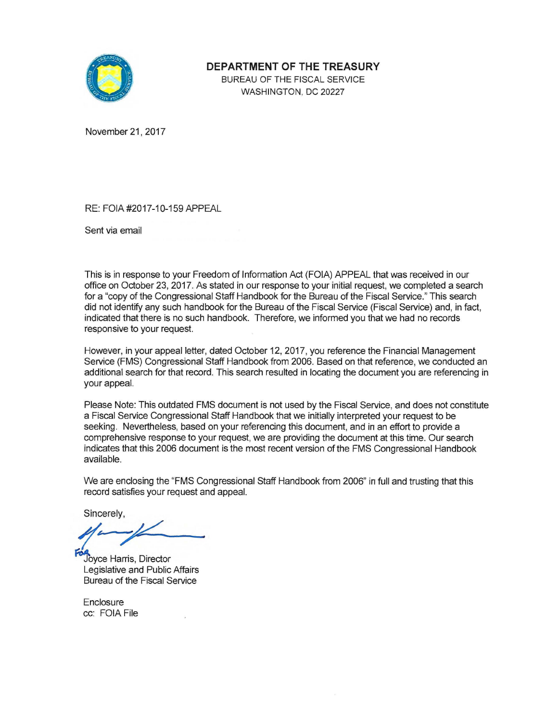

**DEPARTMENT OF THE TREASURY** 

BUREAU OF THE FISCAL SERVICE WASHINGTON, DC 20227

November 21, 2017

RE: FOIA #2017-10-159 APPEAL

Sent via email

This is in response to your Freedom of Information Act (FOIA) APPEAL that was received in our office on October 23, 2017. As stated in our response to your initial request, we completed a search for a "copy of the Congressional Staff Handbook for the Bureau of the Fiscal Service." This search did not identify any such handbook for the Bureau of the Fiscal Service (Fiscal Service) and, in fact, indicated that there is no such handbook. Therefore, we informed you that we had no records responsive to your request.

However, in your appeal letter, dated October 12, 2017, you reference the Financial Management Service (FMS) Congressional Staff Handbook from 2006. Based on that reference, we conducted an additional search for that record. This search resulted in locating the document you are referencing in your appeal.

Please Note: This outdated FMS document is not used by the Fiscal Service, and does not constitute a Fiscal Service Congressional Staff Handbook that we initially interpreted your request to be seeking. Nevertheless, based on your referencing this document, and in an effort to provide a comprehensive response to your request, we are providing the document at this time. Our search indicates that this 2006 document is the most recent version of the FMS Congressional Handbook available.

We are enclosing the "FMS Congressional Staff Handbook from 2006" in full and trusting that this record satisfies your request and appeal.

Sincerely,

:1'- 1

Joyce Harris, Director Legislative and Public Affairs Bureau of the Fiscal Service

Enclosure cc: FOIA File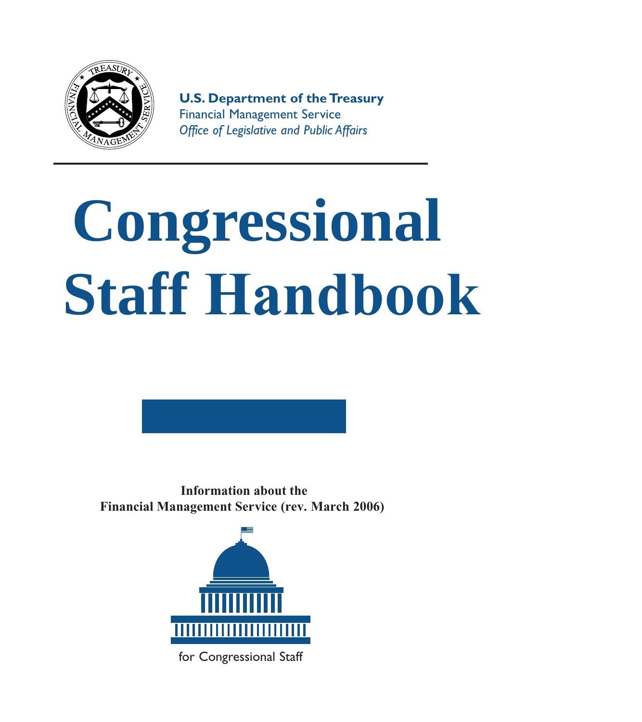

# **Congressional Staff Handbook**

**Information about the Financial Management Service (rev. March 2006)**



for Congressional Staff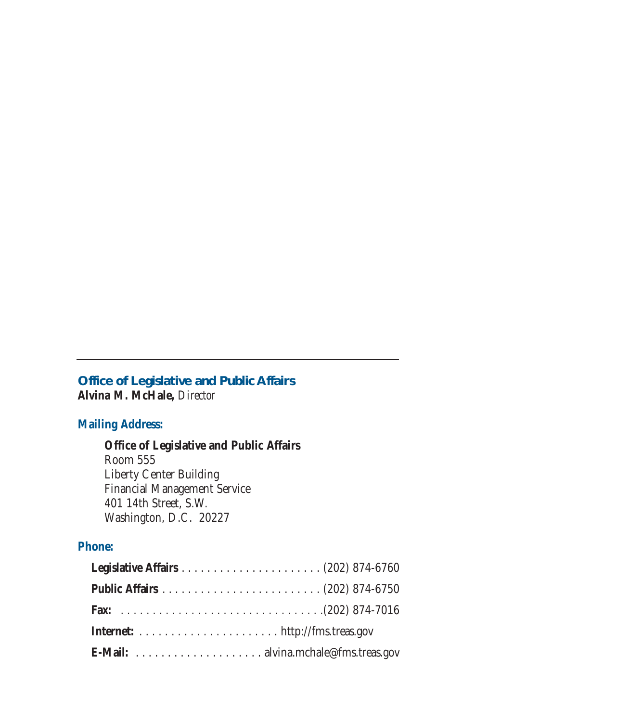#### **Office of Legislative and Public Affairs Alvina M. McHale,** *Director*

#### **Mailing Address:**

#### **Office of Legislative and Public Affairs**

Room 555 Liberty Center Building Financial Management Service 401 14th Street, S.W. Washington, D.C. 20227

#### **Phone:**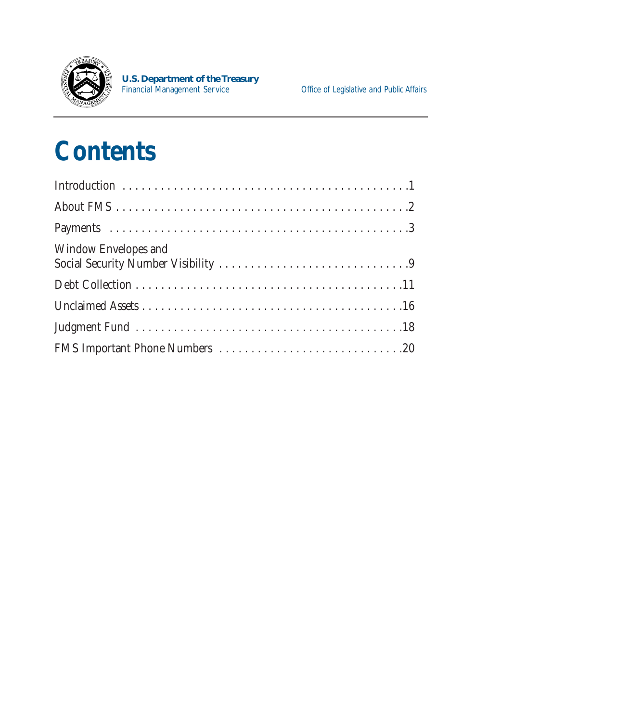

### **Contents**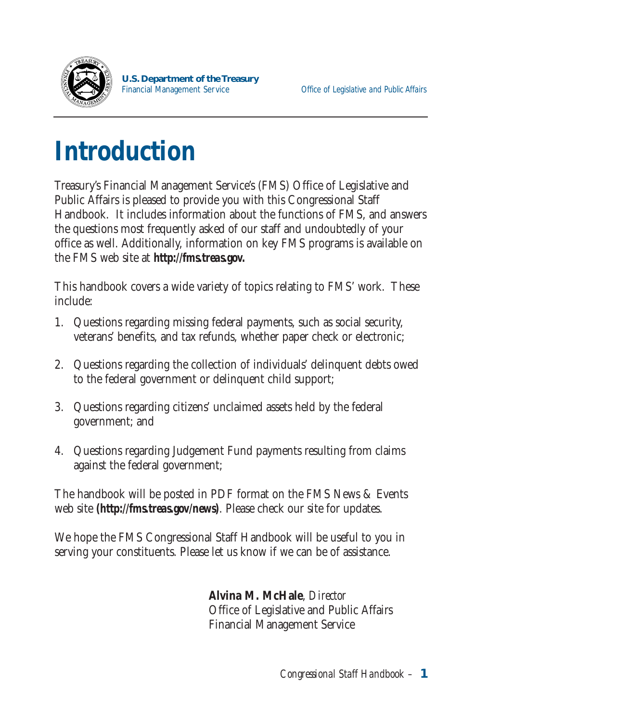

# **Introduction**

Treasury's Financial Management Service's (FMS) Office of Legislative and Public Affairs is pleased to provide you with this Congressional Staff Handbook. It includes information about the functions of FMS, and answers the questions most frequently asked of our staff and undoubtedly of your office as well. Additionally, information on key FMS programs is available on the FMS web site at *http://fms.treas.gov.* 

This handbook covers a wide variety of topics relating to FMS' work. These include:

- 1. Questions regarding missing federal payments, such as social security, veterans' benefits, and tax refunds, whether paper check or electronic;
- 2. Questions regarding the collection of individuals' delinquent debts owed to the federal government or delinquent child support;
- 3. Questions regarding citizens' unclaimed assets held by the federal government; and
- 4. Questions regarding Judgement Fund payments resulting from claims against the federal government;

The handbook will be posted in PDF format on the FMS News & Events web site *(http://fms.treas.gov/news)*. Please check our site for updates.

We hope the FMS Congressional Staff Handbook will be useful to you in serving your constituents. Please let us know if we can be of assistance.

> **Alvina M. McHale**, *Director*  Office of Legislative and Public Affairs Financial Management Service

> > *Congressional Staff Handbook –* **1**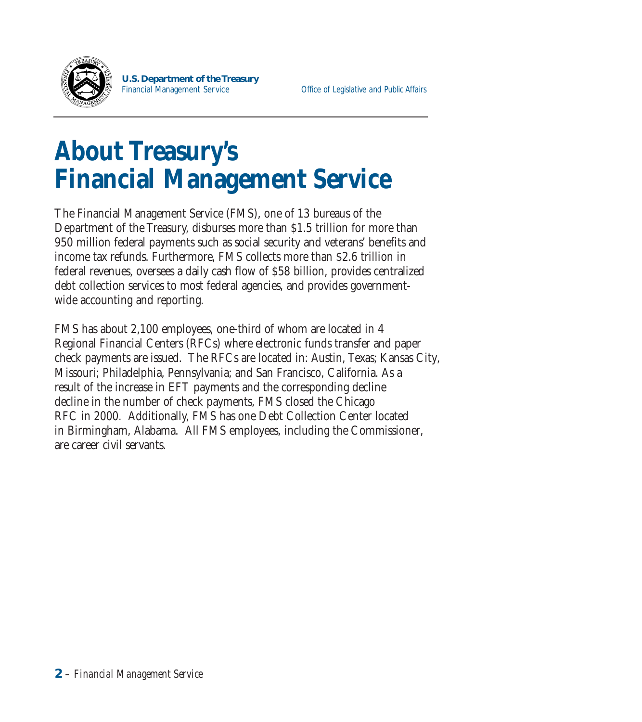

### **About Treasury 's Financial Management Service**

The Financial Management Service (FMS), one of 13 bureaus of the Department of the Treasury, disburses more than \$1.5 trillion for more than 950 million federal payments such as social security and veterans' benefits and income tax refunds. Furthermore, FMS collects more than \$2.6 trillion in federal revenues, oversees a daily cash flow of \$58 billion, provides centralized debt collection services to most federal agencies, and provides governmentwide accounting and reporting.

FMS has about 2,100 employees, one-third of whom are located in 4 Regional Financial Centers (RFCs) where electronic funds transfer and paper check payments are issued. The RFCs are located in: Austin, Texas; Kansas City, Missouri; Philadelphia, Pennsylvania; and San Francisco, California. As a result of the increase in EFT payments and the corresponding decline decline in the number of check payments, FMS closed the Chicago RFC in 2000. Additionally, FMS has one Debt Collection Center located in Birmingham, Alabama. All FMS employees, including the Commissioner, are career civil servants.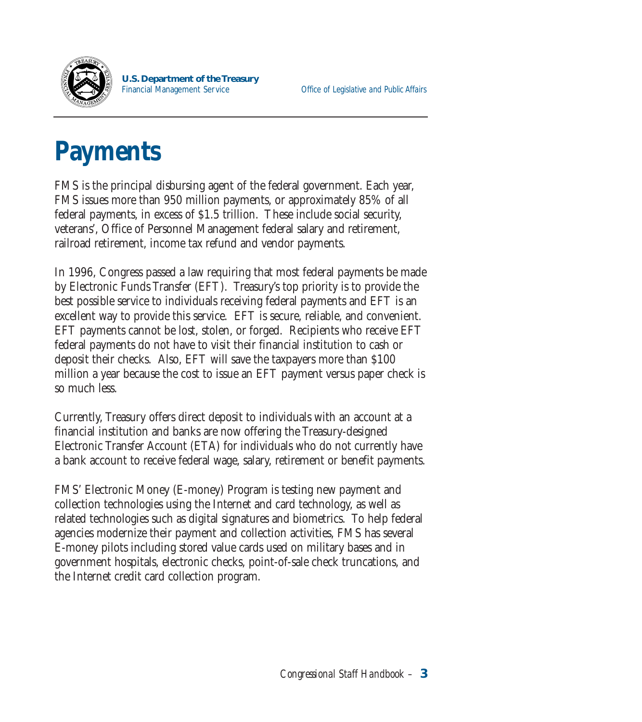

## **Payments**

FMS is the principal disbursing agent of the federal government. Each year, FMS issues more than 950 million payments, or approximately 85% of all federal payments, in excess of \$1.5 trillion. These include social security, veterans', Office of Personnel Management federal salary and retirement, railroad retirement, income tax refund and vendor payments.

In 1996, Congress passed a law requiring that most federal payments be made by Electronic Funds Transfer (EFT). Treasury's top priority is to provide the best possible service to individuals receiving federal payments and EFT is an excellent way to provide this service. EFT is secure, reliable, and convenient. EFT payments cannot be lost, stolen, or forged. Recipients who receive EFT federal payments do not have to visit their financial institution to cash or deposit their checks. Also, EFT will save the taxpayers more than \$100 million a year because the cost to issue an EFT payment versus paper check is so much less.

Currently, Treasury offers direct deposit to individuals with an account at a financial institution and banks are now offering the Treasury-designed Electronic Transfer Account (ETA) for individuals who do not currently have a bank account to receive federal wage, salary, retirement or benefit payments.

FMS' Electronic Money (E-money) Program is testing new payment and collection technologies using the Internet and card technology, as well as related technologies such as digital signatures and biometrics. To help federal agencies modernize their payment and collection activities, FMS has several E-money pilots including stored value cards used on military bases and in government hospitals, electronic checks, point-of-sale check truncations, and the Internet credit card collection program.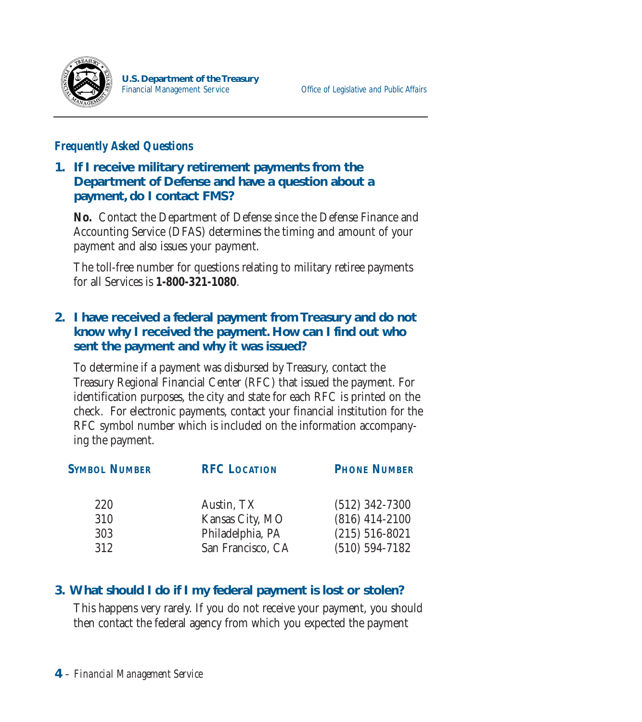

#### *Frequently Asked Questions*

#### **1. If I receive military retirement payments from the Department of Defense and have a question about a payment, do I contact FMS?**

**No.** Contact the Department of Defense since the Defense Finance and Accounting Service (DFAS) determines the timing and amount of your payment and also issues your payment.

The toll-free number for questions relating to military retiree payments for all Services is **1-800-321-1080**.

#### **2. I have received a federal payment from Treasury and do not know why I received the payment. How can I find out who sent the payment and why it was issued?**

To determine if a payment was disbursed by Treasury, contact the Treasury Regional Financial Center (RFC) that issued the payment. For identification purposes, the city and state for each RFC is printed on the check. For electronic payments, contact your financial institution for the RFC symbol number which is included on the information accompanying the payment.

| <b>PHONE NUMBER</b> |  |
|---------------------|--|
| $(512)$ 342-7300    |  |
| $(816)$ 414-2100    |  |
| $(215) 516 - 8021$  |  |
| $(510) 594 - 7182$  |  |
|                     |  |

#### **3. What should I do if I my federal payment is lost or stolen?**

This happens very rarely. If you do not receive your payment, you should then contact the federal agency from which you expected the payment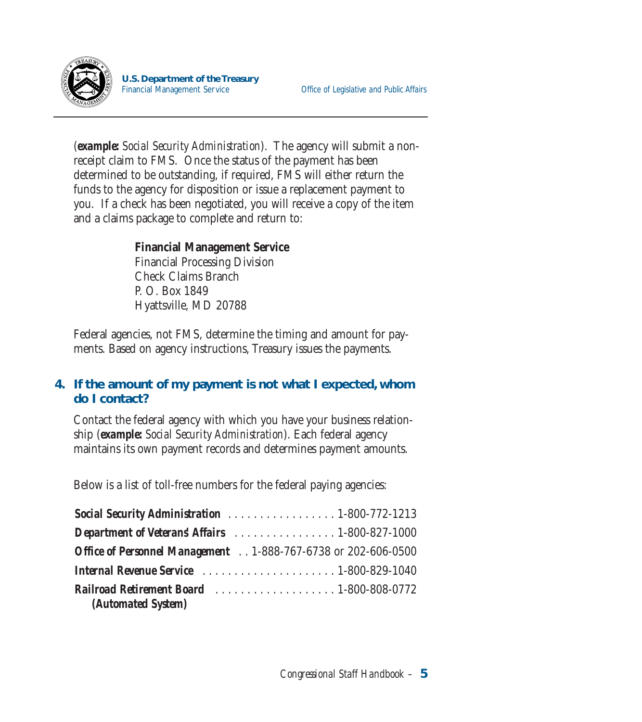

(*example: Social Security Administration*). The agency will submit a nonreceipt claim to FMS. Once the status of the payment has been determined to be outstanding, if required, FMS will either return the funds to the agency for disposition or issue a replacement payment to you. If a check has been negotiated, you will receive a copy of the item and a claims package to complete and return to:

#### **Financial Management Service**

Financial Processing Division Check Claims Branch P. O. Box 1849 Hyattsville, MD 20788

Federal agencies, not FMS, determine the timing and amount for payments. Based on agency instructions, Treasury issues the payments.

#### **4. If the amount of my payment is not what I expected, whom do I contact?**

Contact the federal agency with which you have your business relationship (*example: Social Security Administration*). Each federal agency maintains its own payment records and determines payment amounts.

Below is a list of toll-free numbers for the federal paying agencies:

| <b>Social Security Administration</b> 1-800-772-1213                  |  |
|-----------------------------------------------------------------------|--|
| Department of Veterans' Affairs 1-800-827-1000                        |  |
| Office of Personnel Management 1-888-767-6738 or 202-606-0500         |  |
|                                                                       |  |
| <b>Railroad Retirement Board</b> 1-800-808-0772<br>(Automated System) |  |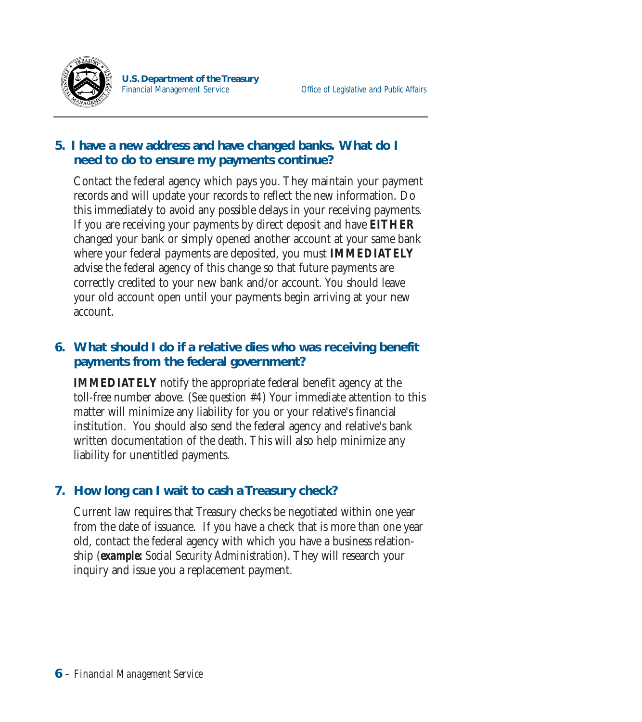

#### **5. I have a new address and have changed banks. What do I need to do to ensure my payments continue?**

Contact the federal agency which pays you. They maintain your payment records and will update your records to reflect the new information. Do this immediately to avoid any possible delays in your receiving payments. If you are receiving your payments by direct deposit and have **EITHER**  changed your bank or simply opened another account at your same bank where your federal payments are deposited, you must **IMMEDIATELY**  advise the federal agency of this change so that future payments are correctly credited to your new bank and/or account. You should leave your old account open until your payments begin arriving at your new account.

#### **6. What should I do if a relative dies who was receiving benefit payments from the federal government?**

**IMMEDIATELY** notify the appropriate federal benefit agency at the toll-free number above. (*See question #4*) Your immediate attention to this matter will minimize any liability for you or your relative's financial institution. You should also send the federal agency and relative's bank written documentation of the death. This will also help minimize any liability for unentitled payments.

#### **7. How long can I wait to cash a Treasury check?**

Current law requires that Treasury checks be negotiated within one year from the date of issuance. If you have a check that is more than one year old, contact the federal agency with which you have a business relationship (*example: Social Security Administration*). They will research your inquiry and issue you a replacement payment.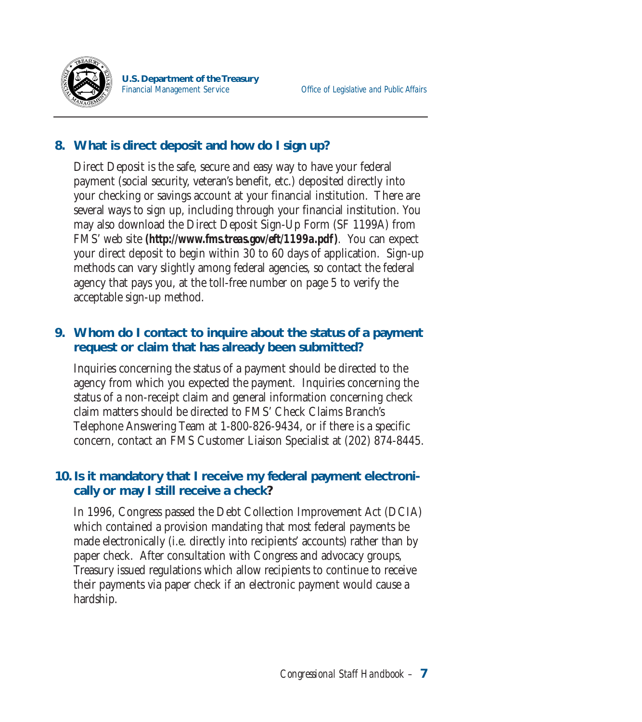

#### **8. What is direct deposit and how do I sign up?**

Direct Deposit is the safe, secure and easy way to have your federal payment (social security, veteran's benefit, etc.) deposited directly into your checking or savings account at your financial institution. There are several ways to sign up, including through your financial institution. You may also download the Direct Deposit Sign-Up Form (SF 1199A) from FMS' web site *(http://www.fms.treas.gov/eft/1199a.pdf).* You can expect your direct deposit to begin within 30 to 60 days of application. Sign-up methods can vary slightly among federal agencies, so contact the federal agency that pays you, at the toll-free number on page 5 to verify the acceptable sign-up method.

#### **9. Whom do I contact to inquire about the status of a payment request or claim that has already been submitted?**

Inquiries concerning the status of a payment should be directed to the agency from which you expected the payment. Inquiries concerning the status of a non-receipt claim and general information concerning check claim matters should be directed to FMS' Check Claims Branch's Telephone Answering Team at 1-800-826-9434, or if there is a specific concern, contact an FMS Customer Liaison Specialist at (202) 874-8445.

#### **10. Is it mandatory that I receive my federal payment electronically or may I still receive a check?**

In 1996, Congress passed the Debt Collection Improvement Act (DCIA) which contained a provision mandating that most federal payments be made electronically (i.e. directly into recipients' accounts) rather than by paper check. After consultation with Congress and advocacy groups, Treasury issued regulations which allow recipients to continue to receive their payments via paper check if an electronic payment would cause a hardship.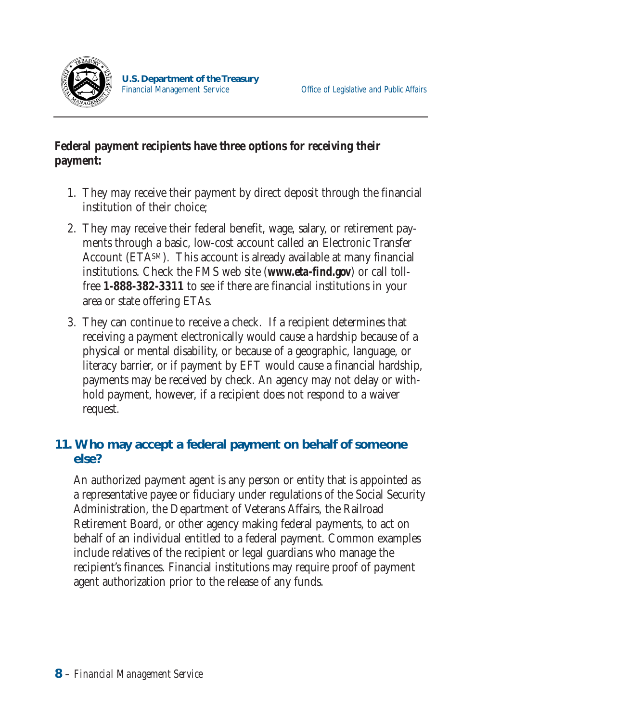

#### **Federal payment recipients have three options for receiving their payment:**

- 1. They may receive their payment by direct deposit through the financial institution of their choice;
- 2. They may receive their federal benefit, wage, salary, or retirement payments through a basic, low-cost account called an Electronic Transfer Account (ETASM). This account is already available at many financial institutions. Check the FMS web site (*www.eta-find.gov*) or call tollfree **1-888-382-3311** to see if there are financial institutions in your area or state offering ETAs.
- 3. They can continue to receive a check. If a recipient determines that receiving a payment electronically would cause a hardship because of a physical or mental disability, or because of a geographic, language, or literacy barrier, or if payment by EFT would cause a financial hardship, payments may be received by check. An agency may not delay or withhold payment, however, if a recipient does not respond to a waiver request.

#### **11. Who may accept a federal payment on behalf of someone else?**

An authorized payment agent is any person or entity that is appointed as a representative payee or fiduciary under regulations of the Social Security Administration, the Department of Veterans Affairs, the Railroad Retirement Board, or other agency making federal payments, to act on behalf of an individual entitled to a federal payment. Common examples include relatives of the recipient or legal guardians who manage the recipient's finances. Financial institutions may require proof of payment agent authorization prior to the release of any funds.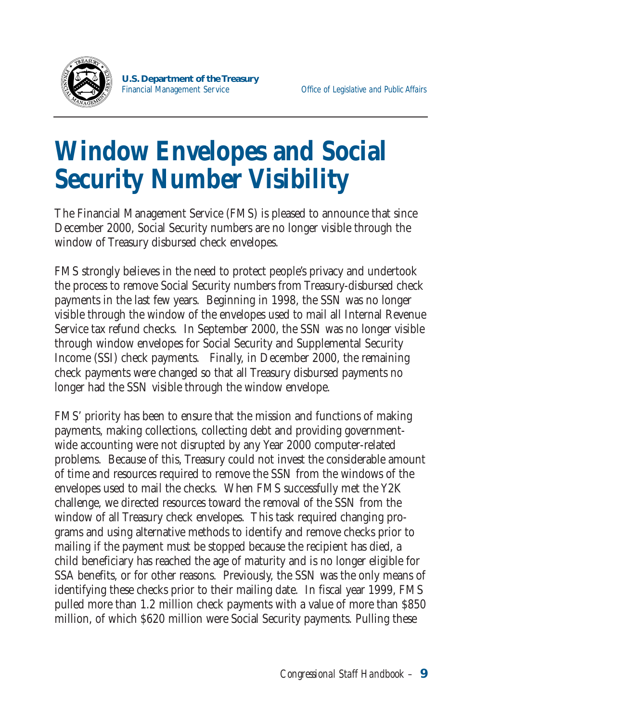

### **Window Envelopes and Social Security Number Visibility**

The Financial Management Service (FMS) is pleased to announce that since December 2000, Social Security numbers are no longer visible through the window of Treasury disbursed check envelopes.

FMS strongly believes in the need to protect people's privacy and undertook the process to remove Social Security numbers from Treasury-disbursed check payments in the last few years. Beginning in 1998, the SSN was no longer visible through the window of the envelopes used to mail all Internal Revenue Service tax refund checks. In September 2000, the SSN was no longer visible through window envelopes for Social Security and Supplemental Security Income (SSI) check payments. Finally, in December 2000, the remaining check payments were changed so that all Treasury disbursed payments no longer had the SSN visible through the window envelope.

FMS' priority has been to ensure that the mission and functions of making payments, making collections, collecting debt and providing governmentwide accounting were not disrupted by any Year 2000 computer-related problems. Because of this, Treasury could not invest the considerable amount of time and resources required to remove the SSN from the windows of the envelopes used to mail the checks. When FMS successfully met the Y2K challenge, we directed resources toward the removal of the SSN from the window of all Treasury check envelopes. This task required changing programs and using alternative methods to identify and remove checks prior to mailing if the payment must be stopped because the recipient has died, a child beneficiary has reached the age of maturity and is no longer eligible for SSA benefits, or for other reasons. Previously, the SSN was the only means of identifying these checks prior to their mailing date. In fiscal year 1999, FMS pulled more than 1.2 million check payments with a value of more than \$850 million, of which \$620 million were Social Security payments. Pulling these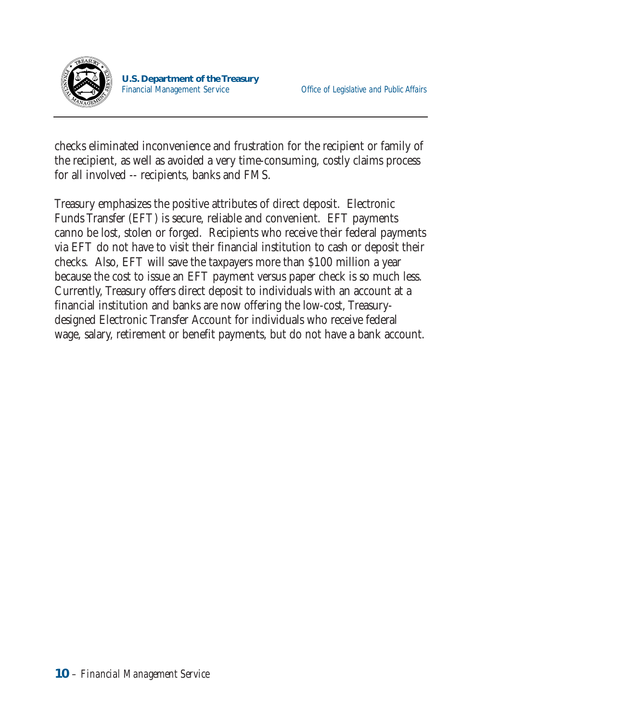

checks eliminated inconvenience and frustration for the recipient or family of the recipient, as well as avoided a very time-consuming, costly claims process for all involved -- recipients, banks and FMS.

Treasury emphasizes the positive attributes of direct deposit. Electronic Funds Transfer (EFT) is secure, reliable and convenient. EFT payments canno be lost, stolen or forged. Recipients who receive their federal payments via EFT do not have to visit their financial institution to cash or deposit their checks. Also, EFT will save the taxpayers more than \$100 million a year because the cost to issue an EFT payment versus paper check is so much less. Currently, Treasury offers direct deposit to individuals with an account at a financial institution and banks are now offering the low-cost, Treasurydesigned Electronic Transfer Account for individuals who receive federal wage, salary, retirement or benefit payments, but do not have a bank account.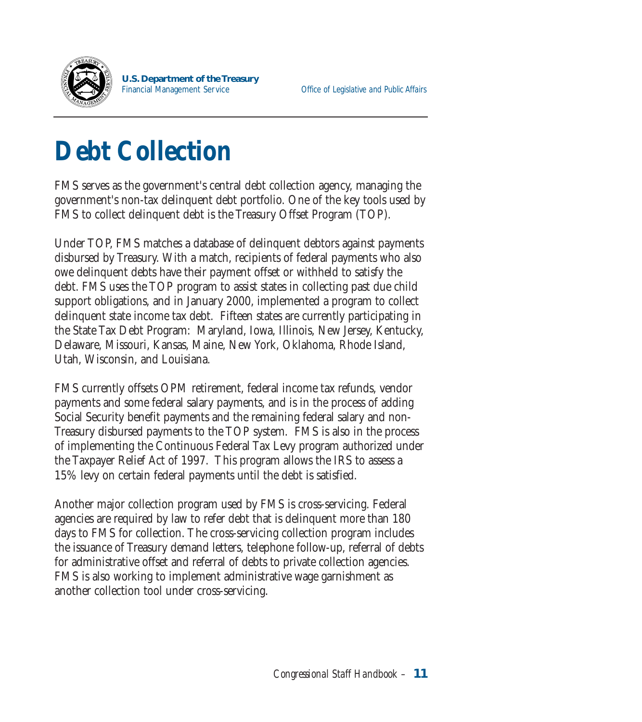

# **Debt Collection**

FMS serves as the government's central debt collection agency, managing the government's non-tax delinquent debt portfolio. One of the key tools used by FMS to collect delinquent debt is the Treasury Offset Program (TOP).

Under TOP, FMS matches a database of delinquent debtors against payments disbursed by Treasury. With a match, recipients of federal payments who also owe delinquent debts have their payment offset or withheld to satisfy the debt. FMS uses the TOP program to assist states in collecting past due child support obligations, and in January 2000, implemented a program to collect delinquent state income tax debt. Fifteen states are currently participating in the State Tax Debt Program: Maryland, Iowa, Illinois, New Jersey, Kentucky, Delaware, Missouri, Kansas, Maine, New York, Oklahoma, Rhode Island, Utah, Wisconsin, and Louisiana.

FMS currently offsets OPM retirement, federal income tax refunds, vendor payments and some federal salary payments, and is in the process of adding Social Security benefit payments and the remaining federal salary and non-Treasury disbursed payments to the TOP system. FMS is also in the process of implementing the Continuous Federal Tax Levy program authorized under the Taxpayer Relief Act of 1997. This program allows the IRS to assess a 15% levy on certain federal payments until the debt is satisfied.

Another major collection program used by FMS is cross-servicing. Federal agencies are required by law to refer debt that is delinquent more than 180 days to FMS for collection. The cross-servicing collection program includes the issuance of Treasury demand letters, telephone follow-up, referral of debts for administrative offset and referral of debts to private collection agencies. FMS is also working to implement administrative wage garnishment as another collection tool under cross-servicing.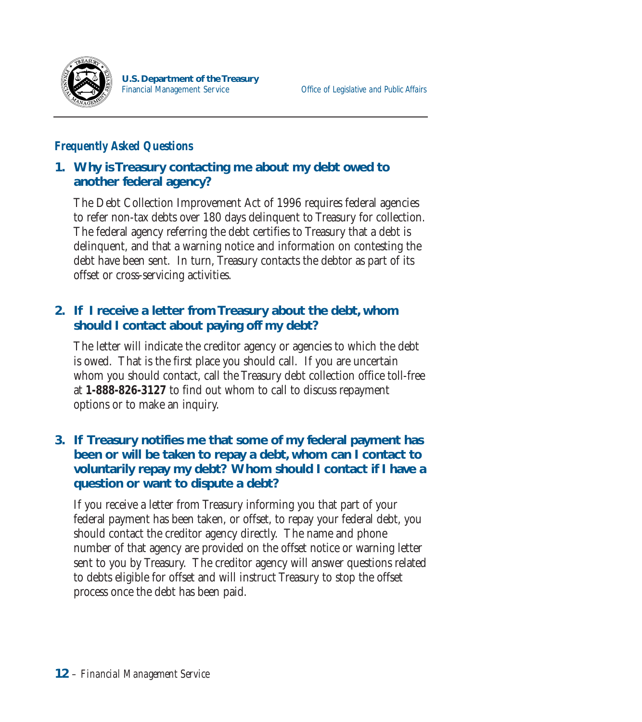

#### *Frequently Asked Questions*

#### **1. Why is Treasury contacting me about my debt owed to another federal agency?**

The Debt Collection Improvement Act of 1996 requires federal agencies to refer non-tax debts over 180 days delinquent to Treasury for collection. The federal agency referring the debt certifies to Treasury that a debt is delinquent, and that a warning notice and information on contesting the debt have been sent. In turn, Treasury contacts the debtor as part of its offset or cross-servicing activities.

#### **2. If I receive a letter from Treasury about the debt, whom should I contact about paying off my debt?**

The letter will indicate the creditor agency or agencies to which the debt is owed. That is the first place you should call. If you are uncertain whom you should contact, call the Treasury debt collection office toll-free at **1-888-826-3127** to find out whom to call to discuss repayment options or to make an inquiry.

#### **3. If Treasury notifies me that some of my federal payment has been or will be taken to repay a debt, whom can I contact to voluntarily repay my debt? Whom should I contact if I have a question or want to dispute a debt?**

If you receive a letter from Treasury informing you that part of your federal payment has been taken, or offset, to repay your federal debt, you should contact the creditor agency directly. The name and phone number of that agency are provided on the offset notice or warning letter sent to you by Treasury. The creditor agency will answer questions related to debts eligible for offset and will instruct Treasury to stop the offset process once the debt has been paid.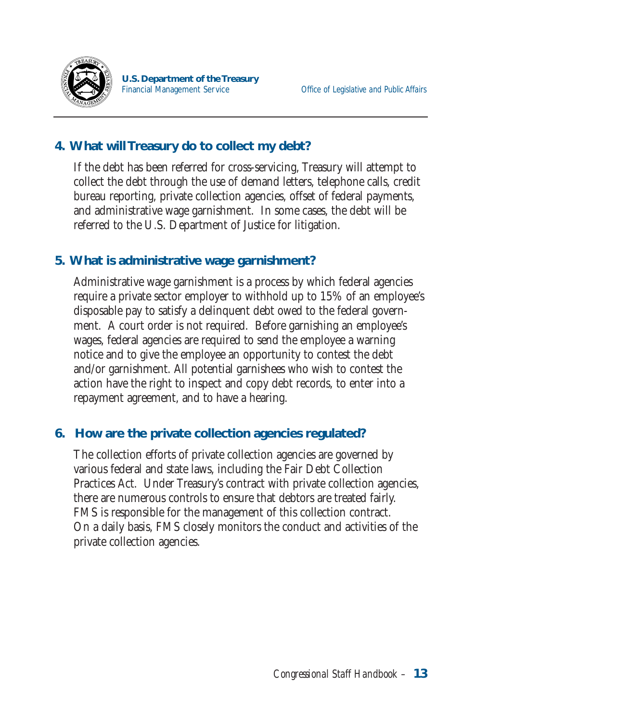

#### **4. What will Treasury do to collect my debt?**

If the debt has been referred for cross-servicing, Treasury will attempt to collect the debt through the use of demand letters, telephone calls, credit bureau reporting, private collection agencies, offset of federal payments, and administrative wage garnishment. In some cases, the debt will be referred to the U.S. Department of Justice for litigation.

#### **5. What is administrative wage garnishment?**

Administrative wage garnishment is a process by which federal agencies require a private sector employer to withhold up to 15% of an employee's disposable pay to satisfy a delinquent debt owed to the federal government. A court order is not required. Before garnishing an employee's wages, federal agencies are required to send the employee a warning notice and to give the employee an opportunity to contest the debt and/or garnishment. All potential garnishees who wish to contest the action have the right to inspect and copy debt records, to enter into a repayment agreement, and to have a hearing.

#### **6. How are the private collection agencies regulated?**

The collection efforts of private collection agencies are governed by various federal and state laws, including the Fair Debt Collection Practices Act. Under Treasury's contract with private collection agencies, there are numerous controls to ensure that debtors are treated fairly. FMS is responsible for the management of this collection contract. On a daily basis, FMS closely monitors the conduct and activities of the private collection agencies.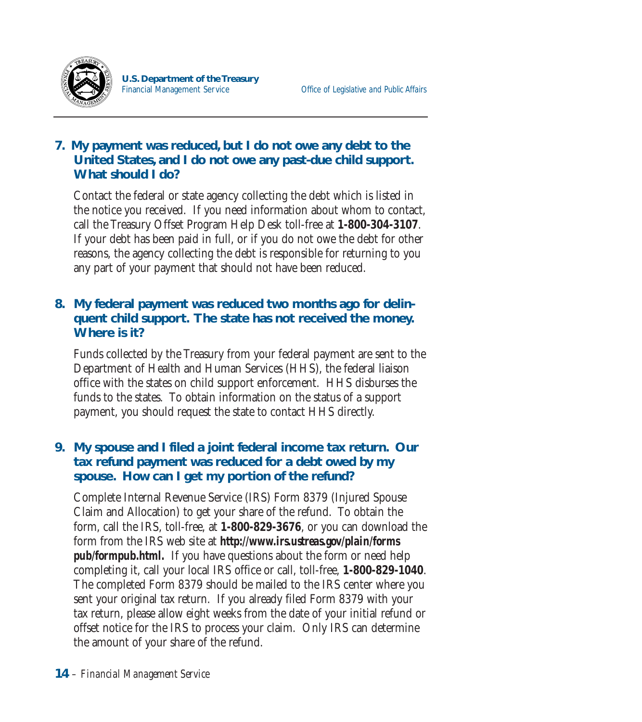

#### **7. My payment was reduced, but I do not owe any debt to the United States, and I do not owe any past-due child support. What should I do?**

Contact the federal or state agency collecting the debt which is listed in the notice you received. If you need information about whom to contact, call the Treasury Offset Program Help Desk toll-free at **1-800-304-3107**. If your debt has been paid in full, or if you do not owe the debt for other reasons, the agency collecting the debt is responsible for returning to you any part of your payment that should not have been reduced.

#### **8. My federal payment was reduced two months ago for delinquent child support. The state has not received the money. Where is it?**

Funds collected by the Treasury from your federal payment are sent to the Department of Health and Human Services (HHS), the federal liaison office with the states on child support enforcement. HHS disburses the funds to the states. To obtain information on the status of a support payment, you should request the state to contact HHS directly.

#### **9. My spouse and I filed a joint federal income tax return. Our tax refund payment was reduced for a debt owed by my spouse. How can I get my portion of the refund?**

Complete Internal Revenue Service (IRS) Form 8379 (Injured Spouse Claim and Allocation) to get your share of the refund. To obtain the form, call the IRS, toll-free, at **1-800-829-3676**, or you can download the form from the IRS web site at *http://www.irs.ustreas.gov/plain/forms pub/formpub.html.* If you have questions about the form or need help completing it, call your local IRS office or call, toll-free, **1-800-829-1040**. The completed Form 8379 should be mailed to the IRS center where you sent your original tax return. If you already filed Form 8379 with your tax return, please allow eight weeks from the date of your initial refund or offset notice for the IRS to process your claim. Only IRS can determine the amount of your share of the refund.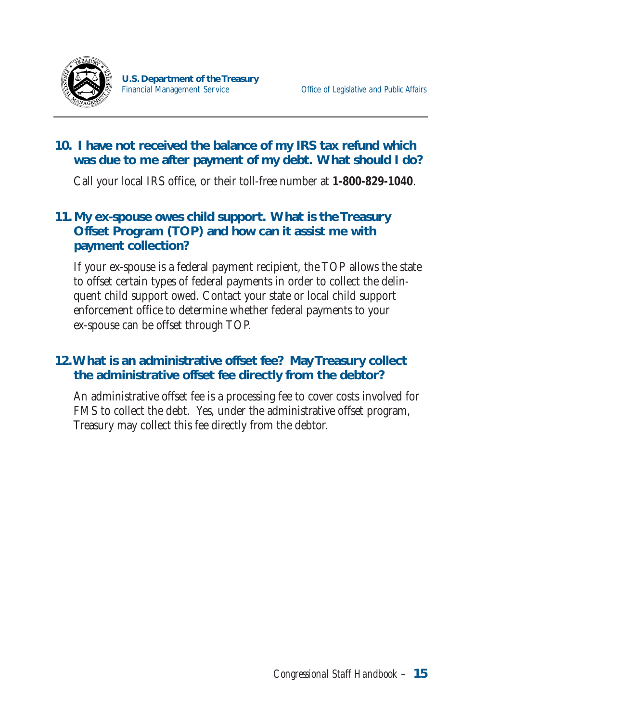

#### **10. I have not received the balance of my IRS tax refund which was due to me after payment of my debt. What should I do?**

Call your local IRS office, or their toll-free number at **1-800-829-1040**.

#### **11. My ex-spouse owes child support. What is the Treasury Offset Program (TOP) and how can it assist me with payment collection?**

If your ex-spouse is a federal payment recipient, the TOP allows the state to offset certain types of federal payments in order to collect the delinquent child support owed. Contact your state or local child support enforcement office to determine whether federal payments to your ex-spouse can be offset through TOP.

#### **12.What is an administrative offset fee? May Treasury collect the administrative offset fee directly from the debtor?**

An administrative offset fee is a processing fee to cover costs involved for FMS to collect the debt. Yes, under the administrative offset program, Treasury may collect this fee directly from the debtor.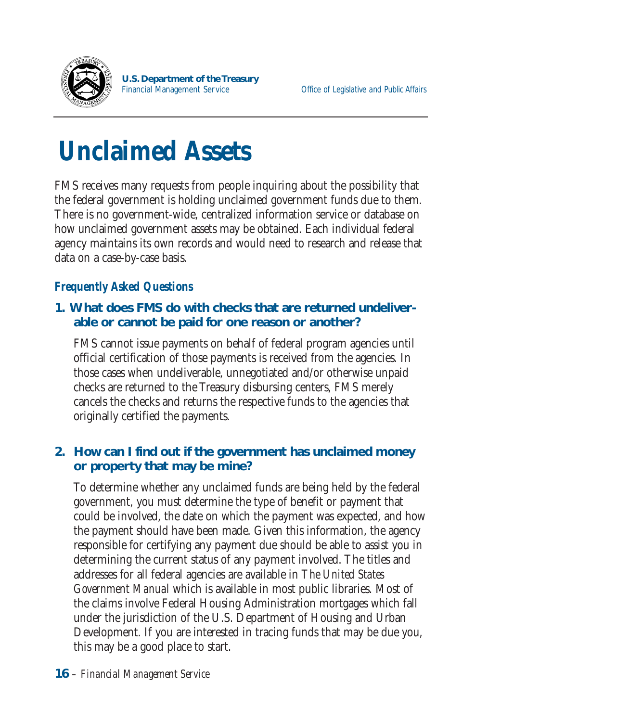

# **Unclaimed Assets**

FMS receives many requests from people inquiring about the possibility that the federal government is holding unclaimed government funds due to them. There is no government-wide, centralized information service or database on how unclaimed government assets may be obtained. Each individual federal agency maintains its own records and would need to research and release that data on a case-by-case basis.

#### *Frequently Asked Questions*

#### **1. What does FMS do with checks that are returned undeliverable or cannot be paid for one reason or another?**

FMS cannot issue payments on behalf of federal program agencies until official certification of those payments is received from the agencies. In those cases when undeliverable, unnegotiated and/or otherwise unpaid checks are returned to the Treasury disbursing centers, FMS merely cancels the checks and returns the respective funds to the agencies that originally certified the payments.

#### **2. How can I find out if the government has unclaimed money or property that may be mine?**

To determine whether any unclaimed funds are being held by the federal government, you must determine the type of benefit or payment that could be involved, the date on which the payment was expected, and how the payment should have been made. Given this information, the agency responsible for certifying any payment due should be able to assist you in determining the current status of any payment involved. The titles and addresses for all federal agencies are available in *The United States Government Manual* which is available in most public libraries. Most of the claims involve Federal Housing Administration mortgages which fall under the jurisdiction of the U.S. Department of Housing and Urban Development. If you are interested in tracing funds that may be due you, this may be a good place to start.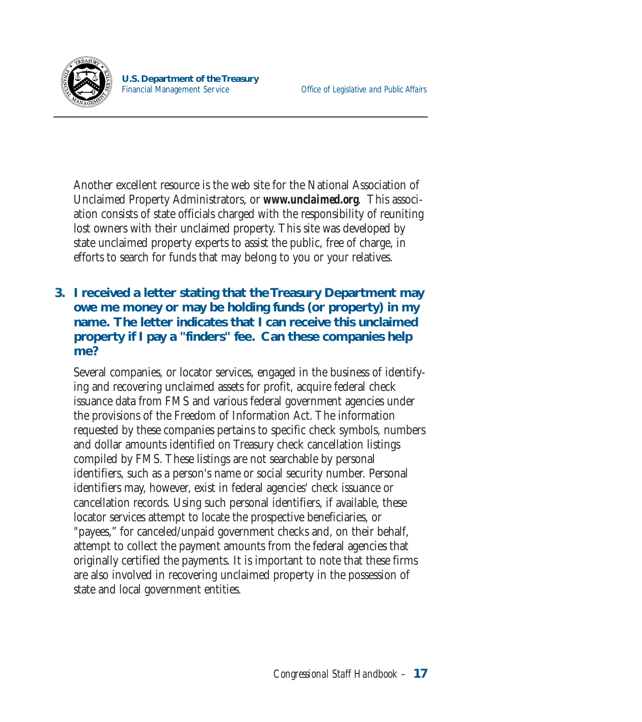

Another excellent resource is the web site for the National Association of Unclaimed Property Administrators, or *www.unclaimed.org*. This association consists of state officials charged with the responsibility of reuniting lost owners with their unclaimed property. This site was developed by state unclaimed property experts to assist the public, free of charge, in efforts to search for funds that may belong to you or your relatives.

#### **3. I received a letter stating that the Treasury Department may owe me money or may be holding funds (or property) in my name. The letter indicates that I can receive this unclaimed property if I pay a "finders" fee. Can these companies help me?**

Several companies, or locator services, engaged in the business of identifying and recovering unclaimed assets for profit, acquire federal check issuance data from FMS and various federal government agencies under the provisions of the Freedom of Information Act. The information requested by these companies pertains to specific check symbols, numbers and dollar amounts identified on Treasury check cancellation listings compiled by FMS. These listings are not searchable by personal identifiers, such as a person's name or social security number. Personal identifiers may, however, exist in federal agencies' check issuance or cancellation records. Using such personal identifiers, if available, these locator services attempt to locate the prospective beneficiaries, or "payees," for canceled/unpaid government checks and, on their behalf, attempt to collect the payment amounts from the federal agencies that originally certified the payments. It is important to note that these firms are also involved in recovering unclaimed property in the possession of state and local government entities.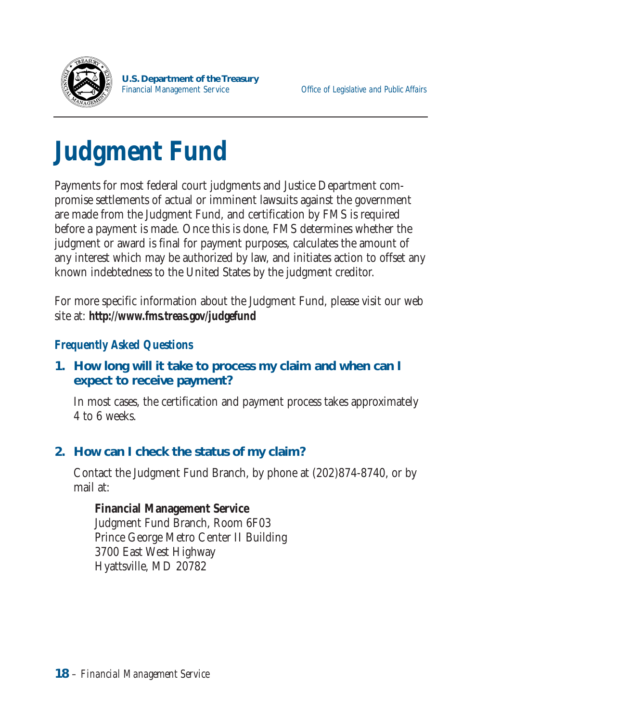

## **Judgment Fund**

Payments for most federal court judgments and Justice Department compromise settlements of actual or imminent lawsuits against the government are made from the Judgment Fund, and certification by FMS is required before a payment is made. Once this is done, FMS determines whether the judgment or award is final for payment purposes, calculates the amount of any interest which may be authorized by law, and initiates action to offset any known indebtedness to the United States by the judgment creditor.

For more specific information about the Judgment Fund, please visit our web site at: *http://www.fms.treas.gov/judgefund* 

#### *Frequently Asked Questions*

#### **1. How long will it take to process my claim and when can I expect to receive payment?**

In most cases, the certification and payment process takes approximately 4 to 6 weeks.

#### **2. How can I check the status of my claim?**

Contact the Judgment Fund Branch, by phone at (202)874-8740, or by mail at:

**Financial Management Service**  Judgment Fund Branch, Room 6F03 Prince George Metro Center II Building 3700 East West Highway Hyattsville, MD 20782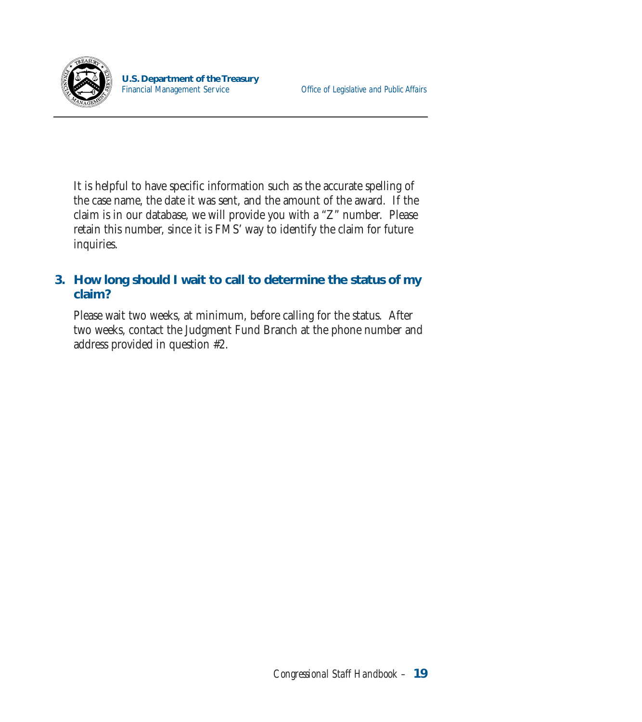

It is helpful to have specific information such as the accurate spelling of the case name, the date it was sent, and the amount of the award. If the claim is in our database, we will provide you with a "Z" number. Please retain this number, since it is FMS' way to identify the claim for future inquiries.

#### **3. How long should I wait to call to determine the status of my claim?**

Please wait two weeks, at minimum, before calling for the status. After two weeks, contact the Judgment Fund Branch at the phone number and address provided in question #2.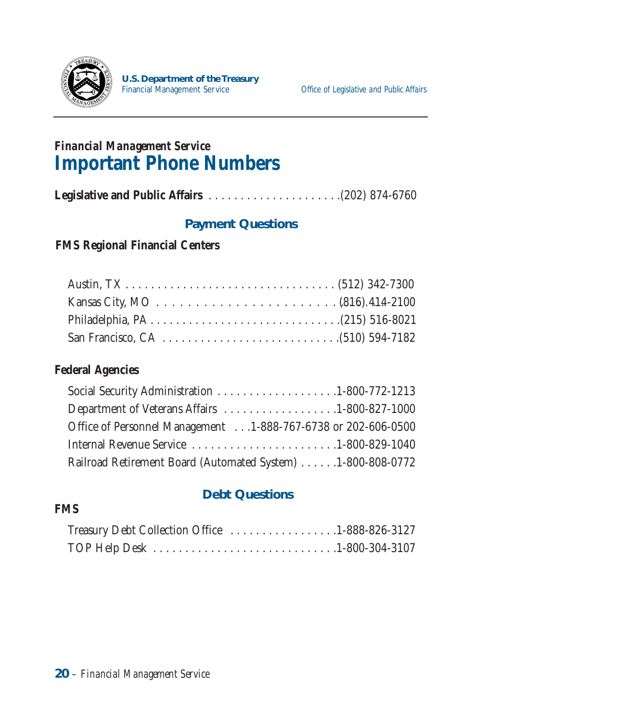

### *Financial Management Service*  **Important Phone Numbers**

**Legislative and Public Affairs** . . . . . . . . . . . . . . . . . . . . .(202) 874-6760

#### **Payment Questions**

#### **FMS Regional Financial Centers**

#### **Federal Agencies**

| Department of Veterans Affairs 1-800-827-1000                 |  |
|---------------------------------------------------------------|--|
| Office of Personnel Management 1-888-767-6738 or 202-606-0500 |  |
| Internal Revenue Service 1-800-829-1040                       |  |
| Railroad Retirement Board (Automated System) 1-800-808-0772   |  |

#### **Debt Questions**

#### **FMS**

| Treasury Debt Collection Office 1-888-826-3127 |
|------------------------------------------------|
|                                                |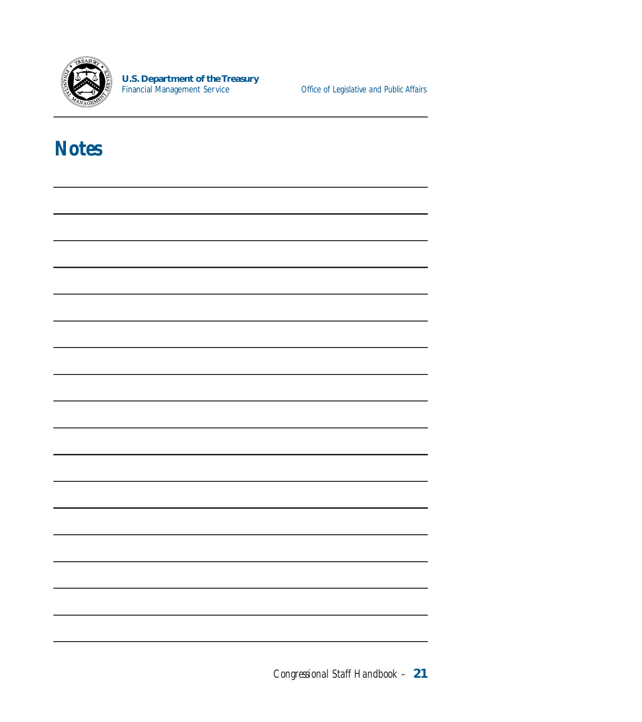

Office of Legislative and Public Affairs

### **Notes**

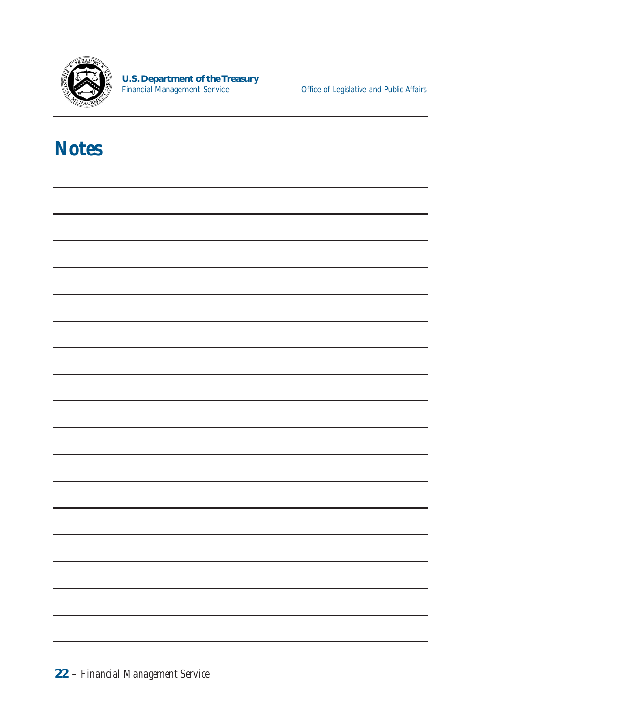

Office of Legislative and Public Affairs

### **Notes**